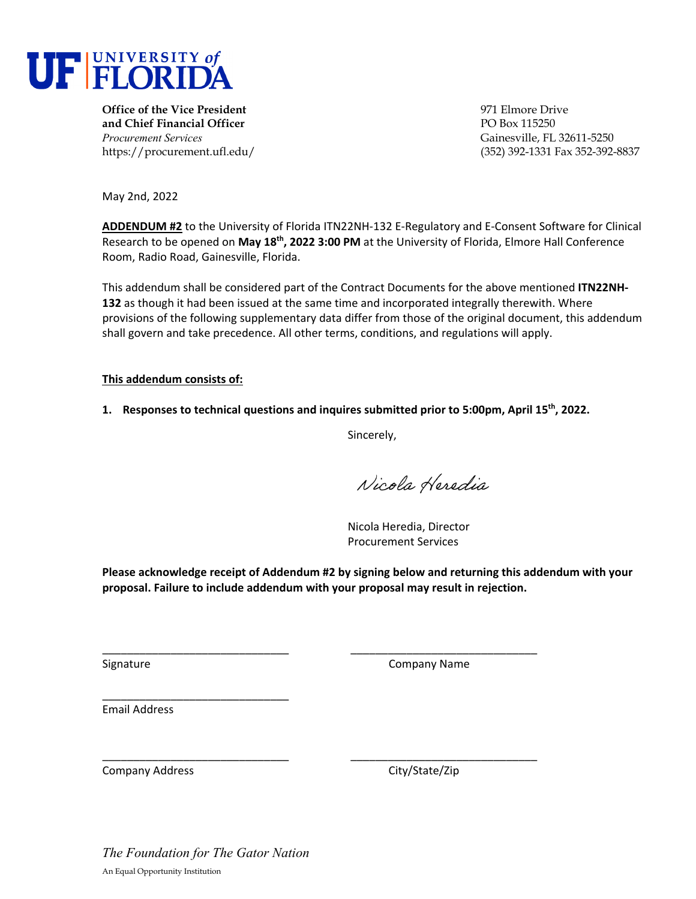

**Office of the Vice President** 971 Elmore Drive **and Chief Financial Officer PO Box 115250** *Procurement Services* Gainesville, FL 32611-5250

https://procurement.ufl.edu/ (352) 392-1331 Fax 352-392-8837

May 2nd, 2022

**ADDENDUM #2** to the University of Florida ITN22NH‐132 E‐Regulatory and E‐Consent Software for Clinical Research to be opened on **May 18th, 2022 3:00 PM** at the University of Florida, Elmore Hall Conference Room, Radio Road, Gainesville, Florida.

This addendum shall be considered part of the Contract Documents for the above mentioned **ITN22NH‐ 132** as though it had been issued at the same time and incorporated integrally therewith. Where provisions of the following supplementary data differ from those of the original document, this addendum shall govern and take precedence. All other terms, conditions, and regulations will apply.

**This addendum consists of:** 

**1. Responses to technical questions and inquires submitted prior to 5:00pm, April 15th, 2022.**

Sincerely,

Nicola Heredia

Nicola Heredia, Director Procurement Services

**Please acknowledge receipt of Addendum #2 by signing below and returning this addendum with your proposal. Failure to include addendum with your proposal may result in rejection.**

\_\_\_\_\_\_\_\_\_\_\_\_\_\_\_\_\_\_\_\_\_\_\_\_\_\_\_\_\_\_ \_\_\_\_\_\_\_\_\_\_\_\_\_\_\_\_\_\_\_\_\_\_\_\_\_\_\_\_\_\_

\_\_\_\_\_\_\_\_\_\_\_\_\_\_\_\_\_\_\_\_\_\_\_\_\_\_\_\_\_\_ \_\_\_\_\_\_\_\_\_\_\_\_\_\_\_\_\_\_\_\_\_\_\_\_\_\_\_\_\_\_

Signature **Company Name** 

Email Address

Company Address **Company Address City/State/Zip** 

\_\_\_\_\_\_\_\_\_\_\_\_\_\_\_\_\_\_\_\_\_\_\_\_\_\_\_\_\_\_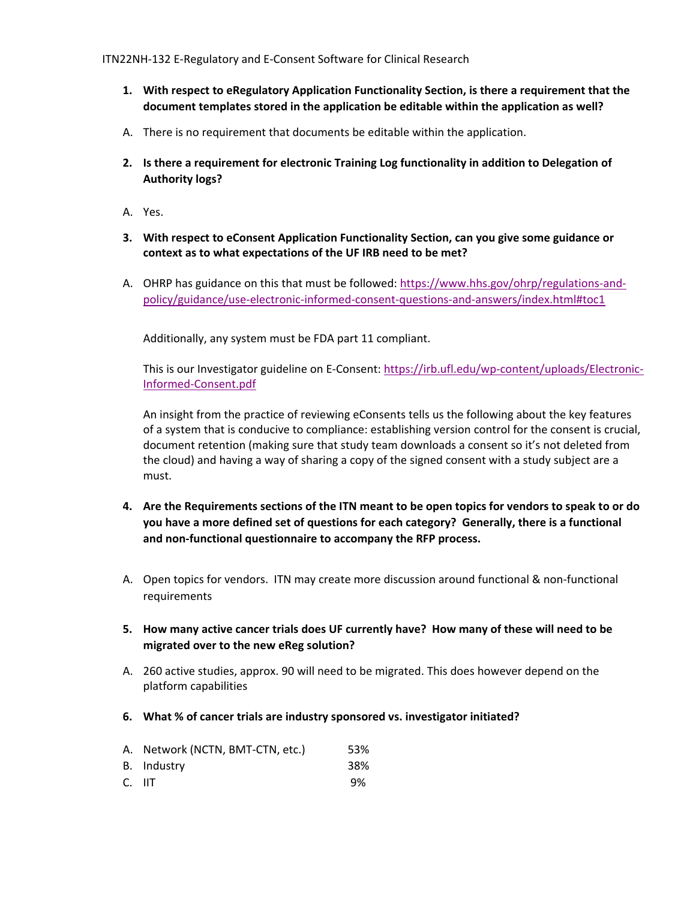- **1. With respect to eRegulatory Application Functionality Section, is there a requirement that the document templates stored in the application be editable within the application as well?**
- A. There is no requirement that documents be editable within the application.
- **2. Is there a requirement for electronic Training Log functionality in addition to Delegation of Authority logs?**
- A. Yes.
- **3. With respect to eConsent Application Functionality Section, can you give some guidance or context as to what expectations of the UF IRB need to be met?**
- A. OHRP has guidance on this that must be followed: https://www.hhs.gov/ohrp/regulations‐and‐ policy/guidance/use‐electronic‐informed‐consent‐questions‐and‐answers/index.html#toc1

Additionally, any system must be FDA part 11 compliant.

This is our Investigator guideline on E-Consent: https://irb.ufl.edu/wp-content/uploads/Electronic-Informed‐Consent.pdf

An insight from the practice of reviewing eConsents tells us the following about the key features of a system that is conducive to compliance: establishing version control for the consent is crucial, document retention (making sure that study team downloads a consent so it's not deleted from the cloud) and having a way of sharing a copy of the signed consent with a study subject are a must.

- 4. Are the Requirements sections of the ITN meant to be open topics for vendors to speak to or do **you have a more defined set of questions for each category? Generally, there is a functional and non‐functional questionnaire to accompany the RFP process.**
- A. Open topics for vendors. ITN may create more discussion around functional & non‐functional requirements
- **5. How many active cancer trials does UF currently have? How many of these will need to be migrated over to the new eReg solution?**
- A. 260 active studies, approx. 90 will need to be migrated. This does however depend on the platform capabilities
- **6. What % of cancer trials are industry sponsored vs. investigator initiated?**

|        | A. Network (NCTN, BMT-CTN, etc.) | 53%      |
|--------|----------------------------------|----------|
|        | B. Industry                      | 38%      |
| $\sim$ |                                  | <u>_</u> |

C. IIT 9%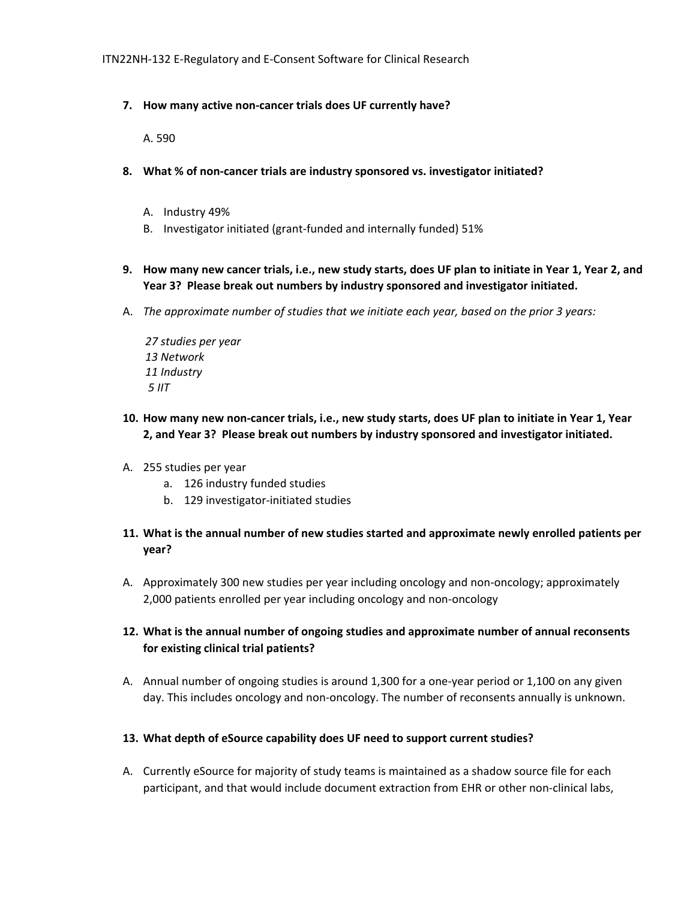### **7. How many active non‐cancer trials does UF currently have?**

A. 590

- **8. What % of non‐cancer trials are industry sponsored vs. investigator initiated?**
	- A. Industry 49%
	- B. Investigator initiated (grant‐funded and internally funded) 51%
- 9. How many new cancer trials, i.e., new study starts, does UF plan to initiate in Year 1, Year 2, and **Year 3? Please break out numbers by industry sponsored and investigator initiated.**
- A. *The approximate number of studies that we initiate each year, based on the prior 3 years:*

 *27 studies per year 13 Network 11 Industry 5 IIT*

- 10. How many new non-cancer trials, i.e., new study starts, does UF plan to initiate in Year 1, Year **2, and Year 3? Please break out numbers by industry sponsored and investigator initiated.**
- A. 255 studies per year
	- a. 126 industry funded studies
	- b. 129 investigator‐initiated studies
- **11. What is the annual number of new studies started and approximate newly enrolled patients per year?**
- A. Approximately 300 new studies per year including oncology and non‐oncology; approximately 2,000 patients enrolled per year including oncology and non‐oncology

# **12. What is the annual number of ongoing studies and approximate number of annual reconsents for existing clinical trial patients?**

A. Annual number of ongoing studies is around 1,300 for a one‐year period or 1,100 on any given day. This includes oncology and non‐oncology. The number of reconsents annually is unknown.

### **13. What depth of eSource capability does UF need to support current studies?**

A. Currently eSource for majority of study teams is maintained as a shadow source file for each participant, and that would include document extraction from EHR or other non‐clinical labs,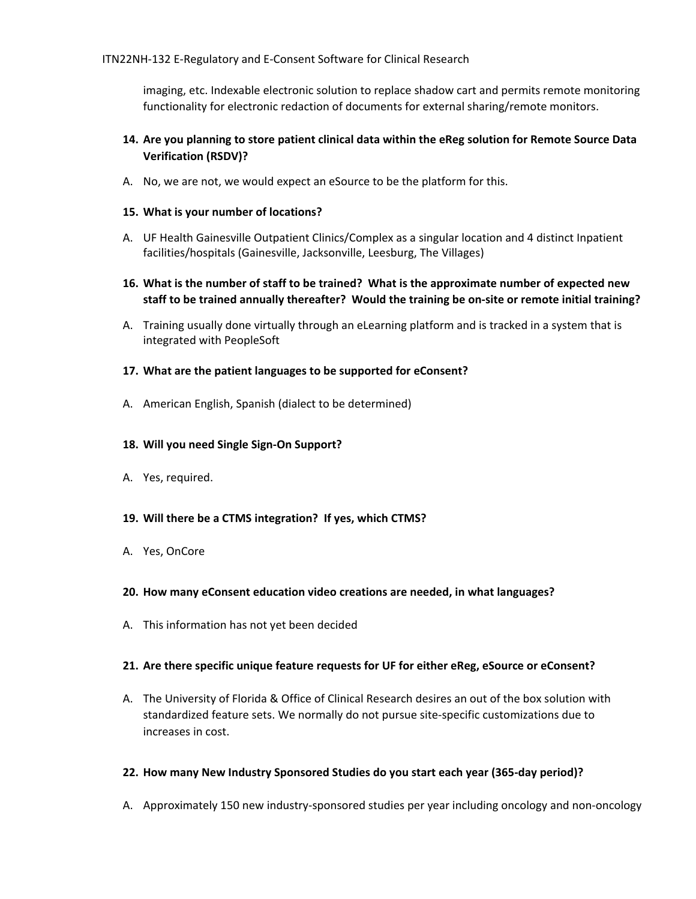imaging, etc. Indexable electronic solution to replace shadow cart and permits remote monitoring functionality for electronic redaction of documents for external sharing/remote monitors.

## **14. Are you planning to store patient clinical data within the eReg solution for Remote Source Data Verification (RSDV)?**

A. No, we are not, we would expect an eSource to be the platform for this.

### **15. What is your number of locations?**

- A. UF Health Gainesville Outpatient Clinics/Complex as a singular location and 4 distinct Inpatient facilities/hospitals (Gainesville, Jacksonville, Leesburg, The Villages)
- 16. What is the number of staff to be trained? What is the approximate number of expected new staff to be trained annually thereafter? Would the training be on-site or remote initial training?
- A. Training usually done virtually through an eLearning platform and is tracked in a system that is integrated with PeopleSoft

## **17. What are the patient languages to be supported for eConsent?**

A. American English, Spanish (dialect to be determined)

### **18. Will you need Single Sign‐On Support?**

- A. Yes, required.
- **19. Will there be a CTMS integration? If yes, which CTMS?**
- A. Yes, OnCore

### **20. How many eConsent education video creations are needed, in what languages?**

A. This information has not yet been decided

### **21. Are there specific unique feature requests for UF for either eReg, eSource or eConsent?**

A. The University of Florida & Office of Clinical Research desires an out of the box solution with standardized feature sets. We normally do not pursue site‐specific customizations due to increases in cost.

### **22. How many New Industry Sponsored Studies do you start each year (365‐day period)?**

A. Approximately 150 new industry‐sponsored studies per year including oncology and non‐oncology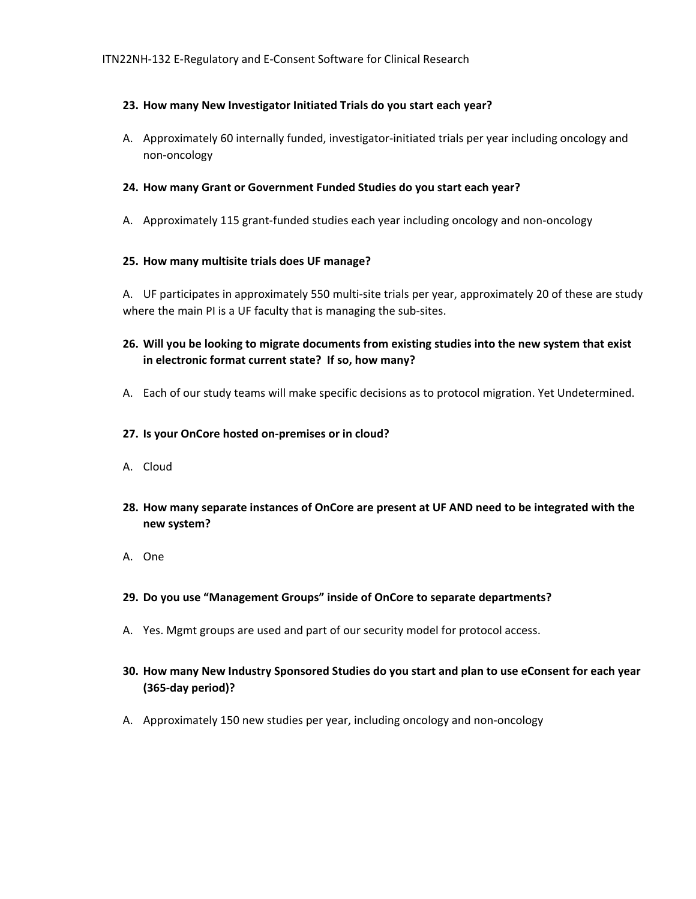### **23. How many New Investigator Initiated Trials do you start each year?**

A. Approximately 60 internally funded, investigator‐initiated trials per year including oncology and non‐oncology

### **24. How many Grant or Government Funded Studies do you start each year?**

A. Approximately 115 grant‐funded studies each year including oncology and non‐oncology

#### **25. How many multisite trials does UF manage?**

A. UF participates in approximately 550 multi‐site trials per year, approximately 20 of these are study where the main PI is a UF faculty that is managing the sub-sites.

# **26. Will you be looking to migrate documents from existing studies into the new system that exist in electronic format current state? If so, how many?**

A. Each of our study teams will make specific decisions as to protocol migration. Yet Undetermined.

#### **27. Is your OnCore hosted on‐premises or in cloud?**

- A. Cloud
- **28. How many separate instances of OnCore are present at UF AND need to be integrated with the new system?**
- A. One

### **29. Do you use "Management Groups" inside of OnCore to separate departments?**

- A. Yes. Mgmt groups are used and part of our security model for protocol access.
- **30. How many New Industry Sponsored Studies do you start and plan to use eConsent for each year (365‐day period)?**
- A. Approximately 150 new studies per year, including oncology and non‐oncology